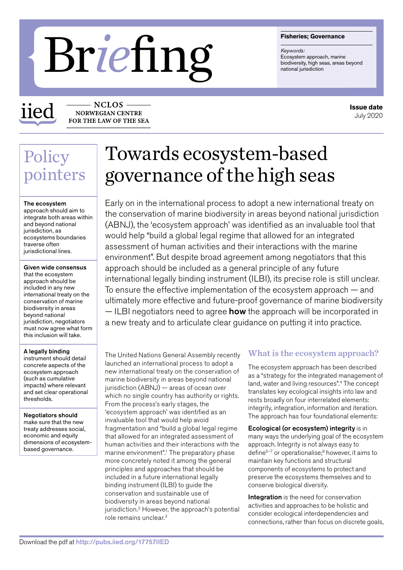#### **Fisheries; Governance**

*Keywords:* Ecosystem approach, marine<br>biodiversity, high seas, areas beyond

# **biodiversity, high season approach biodiversity, high season approach biodiversity, high season approach proach biodiversity, high season approach contained jurisdiction**

iied

**NCLOS** NORWEGIAN CENTRE FOR THE LAW OF THE SEA

# Policy pointers

#### The ecosystem

approach should aim to integrate both areas within and beyond national jurisdiction, as ecosystems boundaries traverse often jurisdictional lines.

### Given wide consensus

that the ecosystem approach should be included in any new international treaty on the conservation of marine biodiversity in areas beyond national jurisdiction, negotiators must now agree what form this inclusion will take.

#### A legally binding

instrument should detail concrete aspects of the ecosystem approach (such as cumulative impacts) where relevant and set clear operational thresholds.

Negotiators should make sure that the new treaty addresses social, economic and equity dimensions of ecosystembased governance.

# Towards ecosystem-based governance of the high seas

Early on in the international process to adopt a new international treaty on the conservation of marine biodiversity in areas beyond national jurisdiction (ABNJ), the 'ecosystem approach' was identified as an invaluable tool that would help "build a global legal regime that allowed for an integrated assessment of human activities and their interactions with the marine environment". But despite broad agreement among negotiators that this approach should be included as a general principle of any future international legally binding instrument (ILBI), its precise role is still unclear. To ensure the effective implementation of the ecosystem approach — and ultimately more effective and future-proof governance of marine biodiversity — ILBI negotiators need to agree **how** the approach will be incorporated in a new treaty and to articulate clear guidance on putting it into practice.

The United Nations General Assembly recently launched an international process to adopt a new international treaty on the conservation of marine biodiversity in areas beyond national jurisdiction (ABNJ) — areas of ocean over which no single country has authority or rights. From the process's early stages, the 'ecosystem approach' was identified as an invaluable tool that would help avoid fragmentation and "build a global legal regime that allowed for an integrated assessment of human activities and their interactions with the marine environment".<sup>1</sup> The preparatory phase more concretely noted it among the general principles and approaches that should be included in a future international legally binding instrument (ILBI) to guide the conservation and sustainable use of biodiversity in areas beyond national jurisdiction.2 However, the approach's potential role remains unclear.3

# What is the ecosystem approach?

The ecosystem approach has been described as a "strategy for the integrated management of land, water and living resources".4 The concept translates key ecological insights into law and rests broadly on four interrelated elements: integrity, integration, information and iteration. The approach has four foundational elements:

Ecological (or ecosystem) integrity is in many ways the underlying goal of the ecosystem approach. Integrity is not always easy to define $5-7$  or operationalise; $8$  however, it aims to maintain key functions and structural components of ecosystems to protect and preserve the ecosystems themselves and to conserve biological diversity.

Integration is the need for conservation activities and approaches to be holistic and consider ecological interdependencies and connections, rather than focus on discrete goals,

**Issue date** July 2020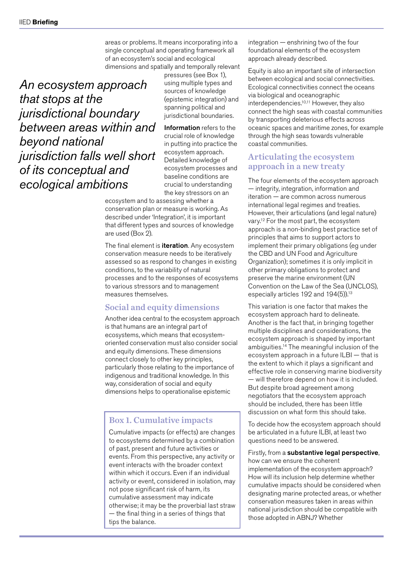areas or problems. It means incorporating into a single conceptual and operating framework all of an ecosystem's social and ecological dimensions and spatially and temporally relevant

*An ecosystem approach that stops at the jurisdictional boundary between areas within and beyond national jurisdiction falls well short of its conceptual and ecological ambitions*

pressures (see Box 1), using multiple types and sources of knowledge (epistemic integration) and spanning political and jurisdictional boundaries.

Information refers to the crucial role of knowledge in putting into practice the ecosystem approach. Detailed knowledge of ecosystem processes and baseline conditions are crucial to understanding the key stressors on an

ecosystem and to assessing whether a conservation plan or measure is working. As described under 'Integration', it is important that different types and sources of knowledge are used (Box 2).

The final element is **iteration**. Any ecosystem conservation measure needs to be iteratively assessed so as respond to changes in existing conditions, to the variability of natural processes and to the responses of ecosystems to various stressors and to management measures themselves.

# Social and equity dimensions

Another idea central to the ecosystem approach is that humans are an integral part of ecosystems, which means that ecosystemoriented conservation must also consider social and equity dimensions. These dimensions connect closely to other key principles, particularly those relating to the importance of indigenous and traditional knowledge. In this way, consideration of social and equity dimensions helps to operationalise epistemic

# Box 1. Cumulative impacts

Cumulative impacts (or effects) are changes to ecosystems determined by a combination of past, present and future activities or events. From this perspective, any activity or event interacts with the broader context within which it occurs. Even if an individual activity or event, considered in isolation, may not pose significant risk of harm, its cumulative assessment may indicate otherwise; it may be the proverbial last straw — the final thing in a series of things that tips the balance.

integration — enshrining two of the four foundational elements of the ecosystem approach already described.

Equity is also an important site of intersection between ecological and social connectivities. Ecological connectivities connect the oceans via biological and oceanographic interdependencies.10,11 However, they also connect the high seas with coastal communities by transporting deleterious effects across oceanic spaces and maritime zones, for example through the high seas towards vulnerable coastal communities.

### Articulating the ecosystem approach in a new treaty

The four elements of the ecosystem approach — integrity, integration, information and iteration — are common across numerous international legal regimes and treaties. However, their articulations (and legal nature) vary.12 For the most part, the ecosystem approach is a non-binding best practice set of principles that aims to support actors to implement their primary obligations (eg under the CBD and UN Food and Agriculture Organization); sometimes it is only implicit in other primary obligations to protect and preserve the marine environment (UN Convention on the Law of the Sea (UNCLOS), especially articles 192 and 194(5)).<sup>13</sup>

This variation is one factor that makes the ecosystem approach hard to delineate. Another is the fact that, in bringing together multiple disciplines and considerations, the ecosystem approach is shaped by important ambiguities.14 The meaningful inclusion of the ecosystem approach in a future ILBI — that is the extent to which it plays a significant and effective role in conserving marine biodiversity — will therefore depend on how it is included. But despite broad agreement among negotiators that the ecosystem approach should be included, there has been little discussion on what form this should take.

To decide how the ecosystem approach should be articulated in a future ILBI, at least two questions need to be answered.

Firstly, from a substantive legal perspective, how can we ensure the coherent implementation of the ecosystem approach? How will its inclusion help determine whether cumulative impacts should be considered when designating marine protected areas, or whether conservation measures taken in areas within national jurisdiction should be compatible with those adopted in ABNJ? Whether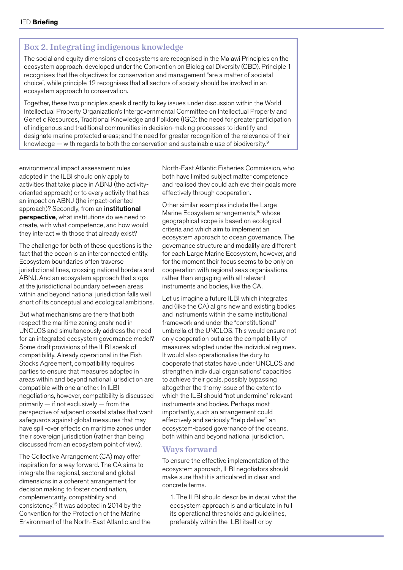## Box 2. Integrating indigenous knowledge

The social and equity dimensions of ecosystems are recognised in the Malawi Principles on the ecosystem approach, developed under the Convention on Biological Diversity (CBD). Principle 1 recognises that the objectives for conservation and management "are a matter of societal choice", while principle 12 recognises that all sectors of society should be involved in an ecosystem approach to conservation.

Together, these two principles speak directly to key issues under discussion within the World Intellectual Property Organization's Intergovernmental Committee on Intellectual Property and Genetic Resources, Traditional Knowledge and Folklore (IGC): the need for greater participation of indigenous and traditional communities in decision-making processes to identify and designate marine protected areas; and the need for greater recognition of the relevance of their knowledge — with regards to both the conservation and sustainable use of biodiversity.<sup>9</sup>

environmental impact assessment rules adopted in the ILBI should only apply to activities that take place in ABNJ (the activityoriented approach) or to every activity that has an impact on ABNJ (the impact-oriented approach)? Secondly, from an institutional perspective, what institutions do we need to create, with what competence, and how would they interact with those that already exist?

The challenge for both of these questions is the fact that the ocean is an interconnected entity. Ecosystem boundaries often traverse jurisdictional lines, crossing national borders and ABNJ. And an ecosystem approach that stops at the jurisdictional boundary between areas within and beyond national jurisdiction falls well short of its conceptual and ecological ambitions.

But what mechanisms are there that both respect the maritime zoning enshrined in UNCLOS and simultaneously address the need for an integrated ecosystem governance model? Some draft provisions of the ILBI speak of compatibility. Already operational in the Fish Stocks Agreement, compatibility requires parties to ensure that measures adopted in areas within and beyond national jurisdiction are compatible with one another. In ILBI negotiations, however, compatibility is discussed primarily — if not exclusively — from the perspective of adjacent coastal states that want safeguards against global measures that may have spill-over effects on maritime zones under their sovereign jurisdiction (rather than being discussed from an ecosystem point of view).

The Collective Arrangement (CA) may offer inspiration for a way forward. The CA aims to integrate the regional, sectoral and global dimensions in a coherent arrangement for decision making to foster coordination, complementarity, compatibility and consistency.15 It was adopted in 2014 by the Convention for the Protection of the Marine Environment of the North-East Atlantic and the North-East Atlantic Fisheries Commission, who both have limited subject matter competence and realised they could achieve their goals more effectively through cooperation.

Other similar examples include the Large Marine Ecosystem arrangements,<sup>16</sup> whose geographical scope is based on ecological criteria and which aim to implement an ecosystem approach to ocean governance. The governance structure and modality are different for each Large Marine Ecosystem, however, and for the moment their focus seems to be only on cooperation with regional seas organisations, rather than engaging with all relevant instruments and bodies, like the CA.

Let us imagine a future ILBI which integrates and (like the CA) aligns new and existing bodies and instruments within the same institutional framework and under the "constitutional" umbrella of the UNCLOS. This would ensure not only cooperation but also the compatibility of measures adopted under the individual regimes. It would also operationalise the duty to cooperate that states have under UNCLOS and strengthen individual organisations' capacities to achieve their goals, possibly bypassing altogether the thorny issue of the extent to which the ILBI should "not undermine" relevant instruments and bodies. Perhaps most importantly, such an arrangement could effectively and seriously "help deliver" an ecosystem-based governance of the oceans, both within and beyond national jurisdiction.

# Ways forward

To ensure the effective implementation of the ecosystem approach, ILBI negotiators should make sure that it is articulated in clear and concrete terms.

1. The ILBI should describe in detail what the ecosystem approach is and articulate in full its operational thresholds and guidelines, preferably within the ILBI itself or by